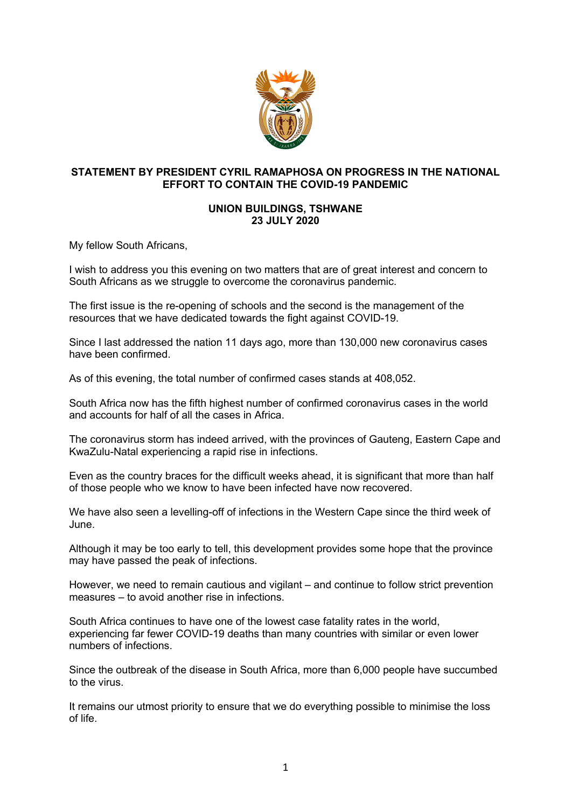

## **STATEMENT BY PRESIDENT CYRIL RAMAPHOSA ON PROGRESS IN THE NATIONAL EFFORT TO CONTAIN THE COVID-19 PANDEMIC**

## **UNION BUILDINGS, TSHWANE 23 JULY 2020**

My fellow South Africans,

I wish to address you this evening on two matters that are of great interest and concern to South Africans as we struggle to overcome the coronavirus pandemic.

The first issue is the re-opening of schools and the second is the management of the resources that we have dedicated towards the fight against COVID-19.

Since I last addressed the nation 11 days ago, more than 130,000 new coronavirus cases have been confirmed.

As of this evening, the total number of confirmed cases stands at 408,052.

South Africa now has the fifth highest number of confirmed coronavirus cases in the world and accounts for half of all the cases in Africa.

The coronavirus storm has indeed arrived, with the provinces of Gauteng, Eastern Cape and KwaZulu-Natal experiencing a rapid rise in infections.

Even as the country braces for the difficult weeks ahead, it is significant that more than half of those people who we know to have been infected have now recovered.

We have also seen a levelling-off of infections in the Western Cape since the third week of June.

Although it may be too early to tell, this development provides some hope that the province may have passed the peak of infections.

However, we need to remain cautious and vigilant – and continue to follow strict prevention measures – to avoid another rise in infections.

South Africa continues to have one of the lowest case fatality rates in the world, experiencing far fewer COVID-19 deaths than many countries with similar or even lower numbers of infections.

Since the outbreak of the disease in South Africa, more than 6,000 people have succumbed to the virus.

It remains our utmost priority to ensure that we do everything possible to minimise the loss of life.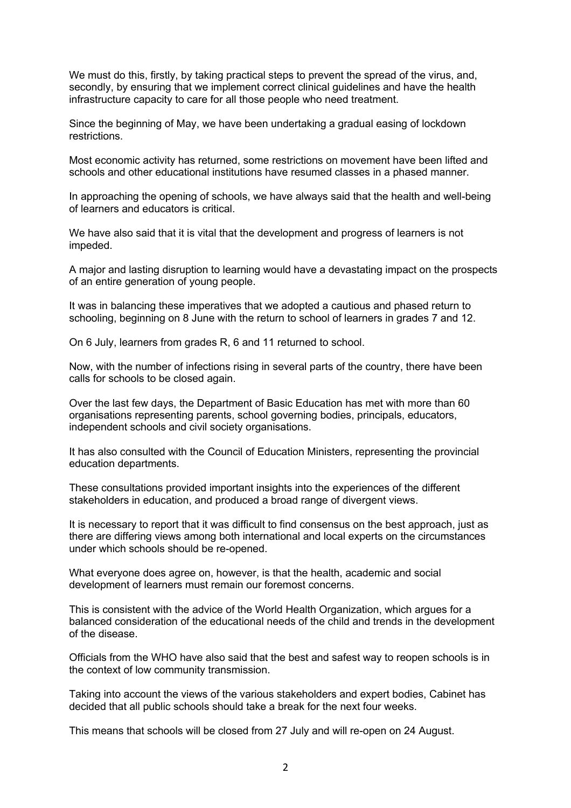We must do this, firstly, by taking practical steps to prevent the spread of the virus, and, secondly, by ensuring that we implement correct clinical guidelines and have the health infrastructure capacity to care for all those people who need treatment.

Since the beginning of May, we have been undertaking a gradual easing of lockdown restrictions.

Most economic activity has returned, some restrictions on movement have been lifted and schools and other educational institutions have resumed classes in a phased manner.

In approaching the opening of schools, we have always said that the health and well-being of learners and educators is critical.

We have also said that it is vital that the development and progress of learners is not impeded.

A major and lasting disruption to learning would have a devastating impact on the prospects of an entire generation of young people.

It was in balancing these imperatives that we adopted a cautious and phased return to schooling, beginning on 8 June with the return to school of learners in grades 7 and 12.

On 6 July, learners from grades R, 6 and 11 returned to school.

Now, with the number of infections rising in several parts of the country, there have been calls for schools to be closed again.

Over the last few days, the Department of Basic Education has met with more than 60 organisations representing parents, school governing bodies, principals, educators, independent schools and civil society organisations.

It has also consulted with the Council of Education Ministers, representing the provincial education departments.

These consultations provided important insights into the experiences of the different stakeholders in education, and produced a broad range of divergent views.

It is necessary to report that it was difficult to find consensus on the best approach, just as there are differing views among both international and local experts on the circumstances under which schools should be re-opened.

What everyone does agree on, however, is that the health, academic and social development of learners must remain our foremost concerns.

This is consistent with the advice of the World Health Organization, which argues for a balanced consideration of the educational needs of the child and trends in the development of the disease.

Officials from the WHO have also said that the best and safest way to reopen schools is in the context of low community transmission.

Taking into account the views of the various stakeholders and expert bodies, Cabinet has decided that all public schools should take a break for the next four weeks.

This means that schools will be closed from 27 July and will re-open on 24 August.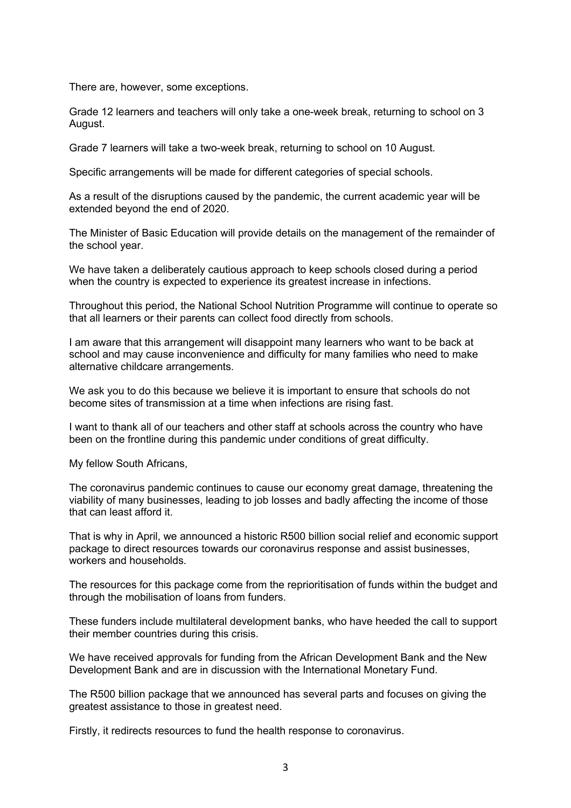There are, however, some exceptions.

Grade 12 learners and teachers will only take a one-week break, returning to school on 3 August.

Grade 7 learners will take a two-week break, returning to school on 10 August.

Specific arrangements will be made for different categories of special schools.

As a result of the disruptions caused by the pandemic, the current academic year will be extended beyond the end of 2020.

The Minister of Basic Education will provide details on the management of the remainder of the school year.

We have taken a deliberately cautious approach to keep schools closed during a period when the country is expected to experience its greatest increase in infections.

Throughout this period, the National School Nutrition Programme will continue to operate so that all learners or their parents can collect food directly from schools.

I am aware that this arrangement will disappoint many learners who want to be back at school and may cause inconvenience and difficulty for many families who need to make alternative childcare arrangements.

We ask you to do this because we believe it is important to ensure that schools do not become sites of transmission at a time when infections are rising fast.

I want to thank all of our teachers and other staff at schools across the country who have been on the frontline during this pandemic under conditions of great difficulty.

My fellow South Africans,

The coronavirus pandemic continues to cause our economy great damage, threatening the viability of many businesses, leading to job losses and badly affecting the income of those that can least afford it.

That is why in April, we announced a historic R500 billion social relief and economic support package to direct resources towards our coronavirus response and assist businesses, workers and households.

The resources for this package come from the reprioritisation of funds within the budget and through the mobilisation of loans from funders.

These funders include multilateral development banks, who have heeded the call to support their member countries during this crisis.

We have received approvals for funding from the African Development Bank and the New Development Bank and are in discussion with the International Monetary Fund.

The R500 billion package that we announced has several parts and focuses on giving the greatest assistance to those in greatest need.

Firstly, it redirects resources to fund the health response to coronavirus.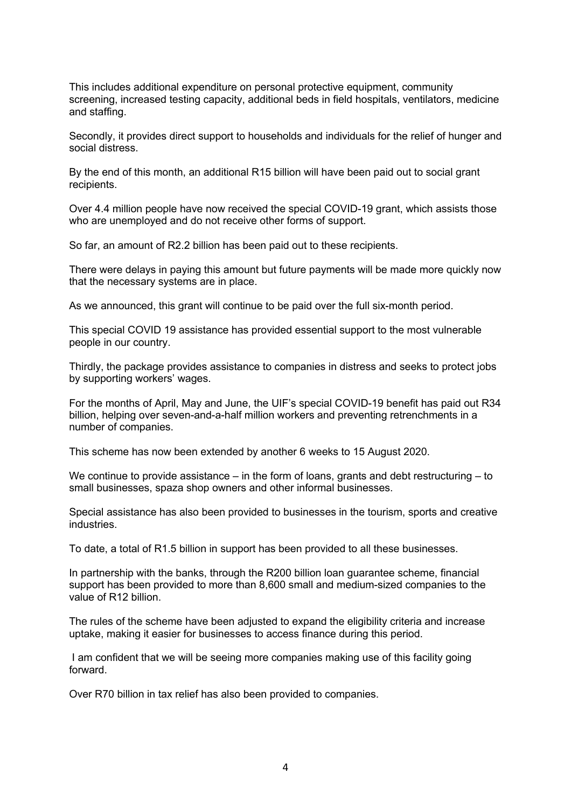This includes additional expenditure on personal protective equipment, community screening, increased testing capacity, additional beds in field hospitals, ventilators, medicine and staffing.

Secondly, it provides direct support to households and individuals for the relief of hunger and social distress.

By the end of this month, an additional R15 billion will have been paid out to social grant recipients.

Over 4.4 million people have now received the special COVID-19 grant, which assists those who are unemployed and do not receive other forms of support.

So far, an amount of R2.2 billion has been paid out to these recipients.

There were delays in paying this amount but future payments will be made more quickly now that the necessary systems are in place.

As we announced, this grant will continue to be paid over the full six-month period.

This special COVID 19 assistance has provided essential support to the most vulnerable people in our country.

Thirdly, the package provides assistance to companies in distress and seeks to protect jobs by supporting workers' wages.

For the months of April, May and June, the UIF's special COVID-19 benefit has paid out R34 billion, helping over seven-and-a-half million workers and preventing retrenchments in a number of companies.

This scheme has now been extended by another 6 weeks to 15 August 2020.

We continue to provide assistance – in the form of loans, grants and debt restructuring – to small businesses, spaza shop owners and other informal businesses.

Special assistance has also been provided to businesses in the tourism, sports and creative industries.

To date, a total of R1.5 billion in support has been provided to all these businesses.

In partnership with the banks, through the R200 billion loan guarantee scheme, financial support has been provided to more than 8,600 small and medium-sized companies to the value of R12 billion.

The rules of the scheme have been adjusted to expand the eligibility criteria and increase uptake, making it easier for businesses to access finance during this period.

I am confident that we will be seeing more companies making use of this facility going forward.

Over R70 billion in tax relief has also been provided to companies.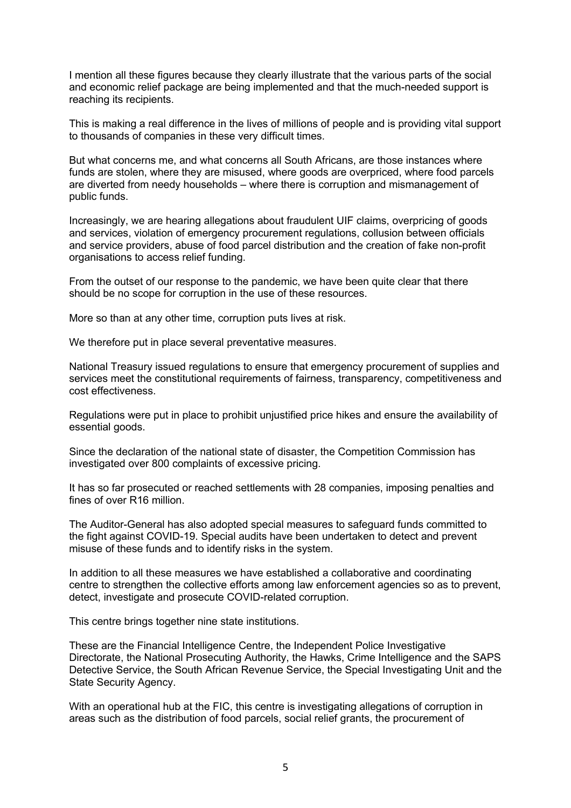I mention all these figures because they clearly illustrate that the various parts of the social and economic relief package are being implemented and that the much-needed support is reaching its recipients.

This is making a real difference in the lives of millions of people and is providing vital support to thousands of companies in these very difficult times.

But what concerns me, and what concerns all South Africans, are those instances where funds are stolen, where they are misused, where goods are overpriced, where food parcels are diverted from needy households – where there is corruption and mismanagement of public funds.

Increasingly, we are hearing allegations about fraudulent UIF claims, overpricing of goods and services, violation of emergency procurement regulations, collusion between officials and service providers, abuse of food parcel distribution and the creation of fake non-profit organisations to access relief funding.

From the outset of our response to the pandemic, we have been quite clear that there should be no scope for corruption in the use of these resources.

More so than at any other time, corruption puts lives at risk.

We therefore put in place several preventative measures.

National Treasury issued regulations to ensure that emergency procurement of supplies and services meet the constitutional requirements of fairness, transparency, competitiveness and cost effectiveness.

Regulations were put in place to prohibit unjustified price hikes and ensure the availability of essential goods.

Since the declaration of the national state of disaster, the Competition Commission has investigated over 800 complaints of excessive pricing.

It has so far prosecuted or reached settlements with 28 companies, imposing penalties and fines of over R16 million.

The Auditor-General has also adopted special measures to safeguard funds committed to the fight against COVID-19. Special audits have been undertaken to detect and prevent misuse of these funds and to identify risks in the system.

In addition to all these measures we have established a collaborative and coordinating centre to strengthen the collective efforts among law enforcement agencies so as to prevent, detect, investigate and prosecute COVID-related corruption.

This centre brings together nine state institutions.

These are the Financial Intelligence Centre, the Independent Police Investigative Directorate, the National Prosecuting Authority, the Hawks, Crime Intelligence and the SAPS Detective Service, the South African Revenue Service, the Special Investigating Unit and the State Security Agency.

With an operational hub at the FIC, this centre is investigating allegations of corruption in areas such as the distribution of food parcels, social relief grants, the procurement of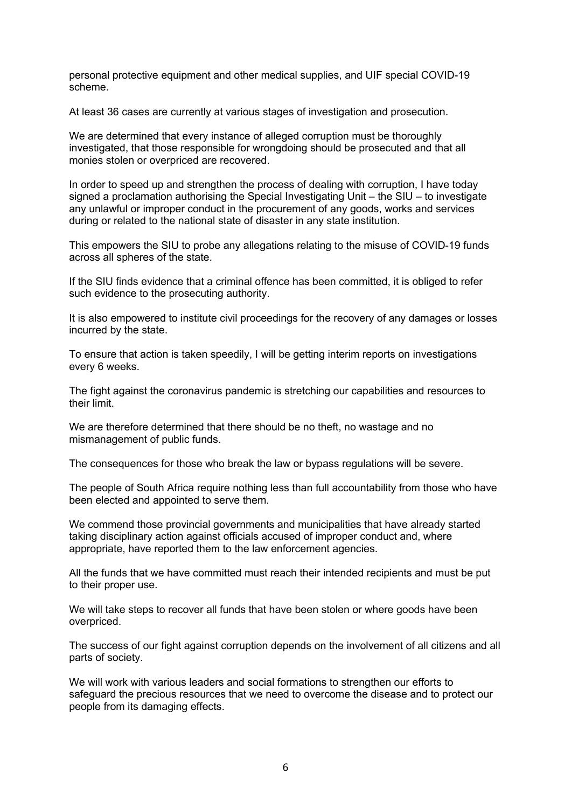personal protective equipment and other medical supplies, and UIF special COVID-19 scheme.

At least 36 cases are currently at various stages of investigation and prosecution.

We are determined that every instance of alleged corruption must be thoroughly investigated, that those responsible for wrongdoing should be prosecuted and that all monies stolen or overpriced are recovered.

In order to speed up and strengthen the process of dealing with corruption, I have today signed a proclamation authorising the Special Investigating Unit – the SIU – to investigate any unlawful or improper conduct in the procurement of any goods, works and services during or related to the national state of disaster in any state institution.

This empowers the SIU to probe any allegations relating to the misuse of COVID-19 funds across all spheres of the state.

If the SIU finds evidence that a criminal offence has been committed, it is obliged to refer such evidence to the prosecuting authority.

It is also empowered to institute civil proceedings for the recovery of any damages or losses incurred by the state.

To ensure that action is taken speedily, I will be getting interim reports on investigations every 6 weeks.

The fight against the coronavirus pandemic is stretching our capabilities and resources to their limit.

We are therefore determined that there should be no theft, no wastage and no mismanagement of public funds.

The consequences for those who break the law or bypass regulations will be severe.

The people of South Africa require nothing less than full accountability from those who have been elected and appointed to serve them.

We commend those provincial governments and municipalities that have already started taking disciplinary action against officials accused of improper conduct and, where appropriate, have reported them to the law enforcement agencies.

All the funds that we have committed must reach their intended recipients and must be put to their proper use.

We will take steps to recover all funds that have been stolen or where goods have been overpriced.

The success of our fight against corruption depends on the involvement of all citizens and all parts of society.

We will work with various leaders and social formations to strengthen our efforts to safeguard the precious resources that we need to overcome the disease and to protect our people from its damaging effects.